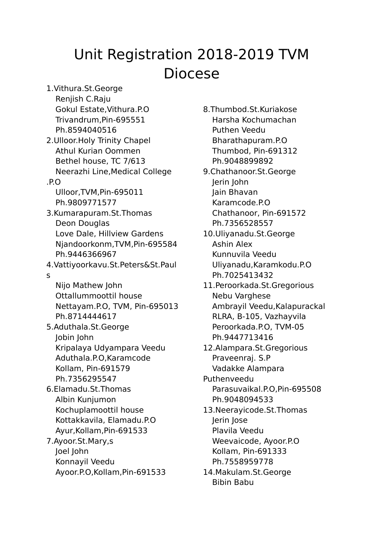## Unit Registration 2018-2019 TVM Diocese

1.Vithura.St.George Renjish C.Raju Gokul Estate,Vithura.P.O Trivandrum,Pin-695551 Ph.8594040516 2.Ulloor.Holy Trinity Chapel Athul Kurian Oommen Bethel house, TC 7/613 Neerazhi Line,Medical College .P.O Ulloor,TVM,Pin-695011 Ph.9809771577 3.Kumarapuram.St.Thomas Deon Douglas Love Dale, Hillview Gardens Njandoorkonm,TVM,Pin-695584 Ph.9446366967 4.Vattiyoorkavu.St.Peters&St.Paul s Nijo Mathew John Ottallummoottil house Nettayam.P.O, TVM, Pin-695013 Ph.8714444617 5.Aduthala.St.George Jobin John Kripalaya Udyampara Veedu Aduthala.P.O,Karamcode Kollam, Pin-691579 Ph.7356295547 6.Elamadu.St.Thomas Albin Kunjumon Kochuplamoottil house Kottakkavila, Elamadu.P.O Ayur,Kollam,Pin-691533 7.Ayoor.St.Mary,s Joel John Konnayil Veedu Ayoor.P.O,Kollam,Pin-691533

8.Thumbod.St.Kuriakose Harsha Kochumachan Puthen Veedu Bharathapuram.P.O Thumbod, Pin-691312 Ph.9048899892 9.Chathanoor.St.George Jerin John Jain Bhavan Karamcode.P.O Chathanoor, Pin-691572 Ph.7356528557 10.Uliyanadu.St.George Ashin Alex Kunnuvila Veedu Uliyanadu,Karamkodu.P.O Ph.7025413432 11.Peroorkada.St.Gregorious Nebu Varghese Ambrayil Veedu,Kalapurackal RLRA, B-105, Vazhayvila Peroorkada.P.O, TVM-05 Ph.9447713416 12.Alampara.St.Gregorious Praveenraj. S.P Vadakke Alampara Puthenveedu Parasuvaikal.P.O,Pin-695508 Ph.9048094533 13.Neerayicode.St.Thomas Jerin Jose Plavila Veedu Weevaicode, Ayoor.P.O Kollam, Pin-691333 Ph.7558959778 14.Makulam.St.George Bibin Babu